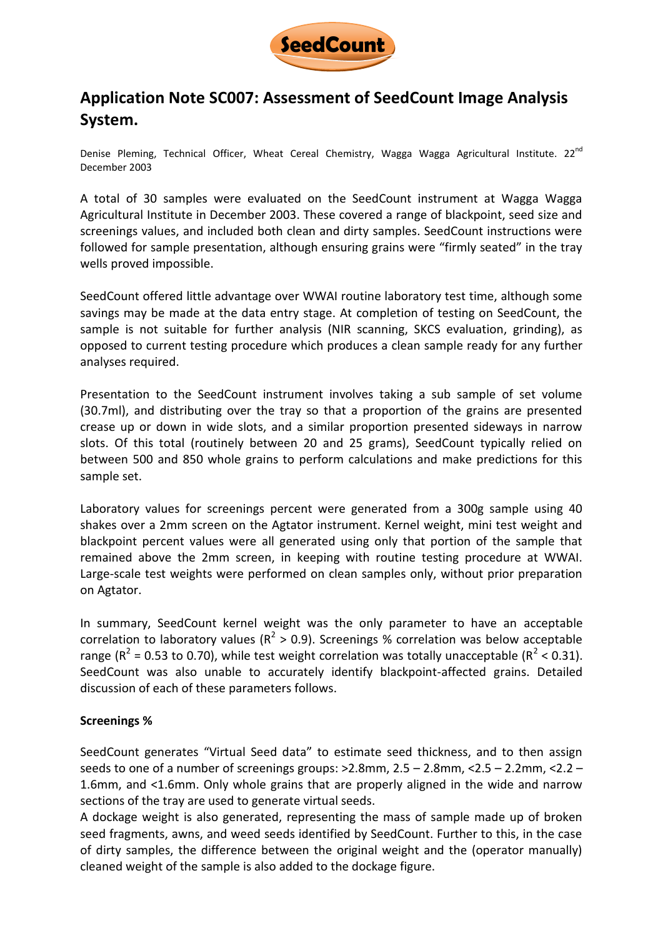

# **Application Note SC007: Assessment of SeedCount Image Analysis System.**

Denise Pleming, Technical Officer, Wheat Cereal Chemistry, Wagga Wagga Agricultural Institute. 22<sup>nd</sup> December 2003

A total of 30 samples were evaluated on the SeedCount instrument at Wagga Wagga Agricultural Institute in December 2003. These covered a range of blackpoint, seed size and screenings values, and included both clean and dirty samples. SeedCount instructions were followed for sample presentation, although ensuring grains were "firmly seated" in the tray wells proved impossible.

SeedCount offered little advantage over WWAI routine laboratory test time, although some savings may be made at the data entry stage. At completion of testing on SeedCount, the sample is not suitable for further analysis (NIR scanning, SKCS evaluation, grinding), as opposed to current testing procedure which produces a clean sample ready for any further analyses required.

Presentation to the SeedCount instrument involves taking a sub sample of set volume (30.7ml), and distributing over the tray so that a proportion of the grains are presented crease up or down in wide slots, and a similar proportion presented sideways in narrow slots. Of this total (routinely between 20 and 25 grams), SeedCount typically relied on between 500 and 850 whole grains to perform calculations and make predictions for this sample set.

Laboratory values for screenings percent were generated from a 300g sample using 40 shakes over a 2mm screen on the Agtator instrument. Kernel weight, mini test weight and blackpoint percent values were all generated using only that portion of the sample that remained above the 2mm screen, in keeping with routine testing procedure at WWAI. Large-scale test weights were performed on clean samples only, without prior preparation on Agtator.

In summary, SeedCount kernel weight was the only parameter to have an acceptable correlation to laboratory values ( $R^2 > 0.9$ ). Screenings % correlation was below acceptable range ( $R^2$  = 0.53 to 0.70), while test weight correlation was totally unacceptable ( $R^2$  < 0.31). SeedCount was also unable to accurately identify blackpoint-affected grains. Detailed discussion of each of these parameters follows.

#### **Screenings %**

SeedCount generates "Virtual Seed data" to estimate seed thickness, and to then assign seeds to one of a number of screenings groups:  $>2.8$ mm,  $2.5 - 2.8$ mm,  $<2.5 - 2.2$ mm,  $<2.2 -$ 1.6mm, and <1.6mm. Only whole grains that are properly aligned in the wide and narrow sections of the tray are used to generate virtual seeds.

A dockage weight is also generated, representing the mass of sample made up of broken seed fragments, awns, and weed seeds identified by SeedCount. Further to this, in the case of dirty samples, the difference between the original weight and the (operator manually) cleaned weight of the sample is also added to the dockage figure.